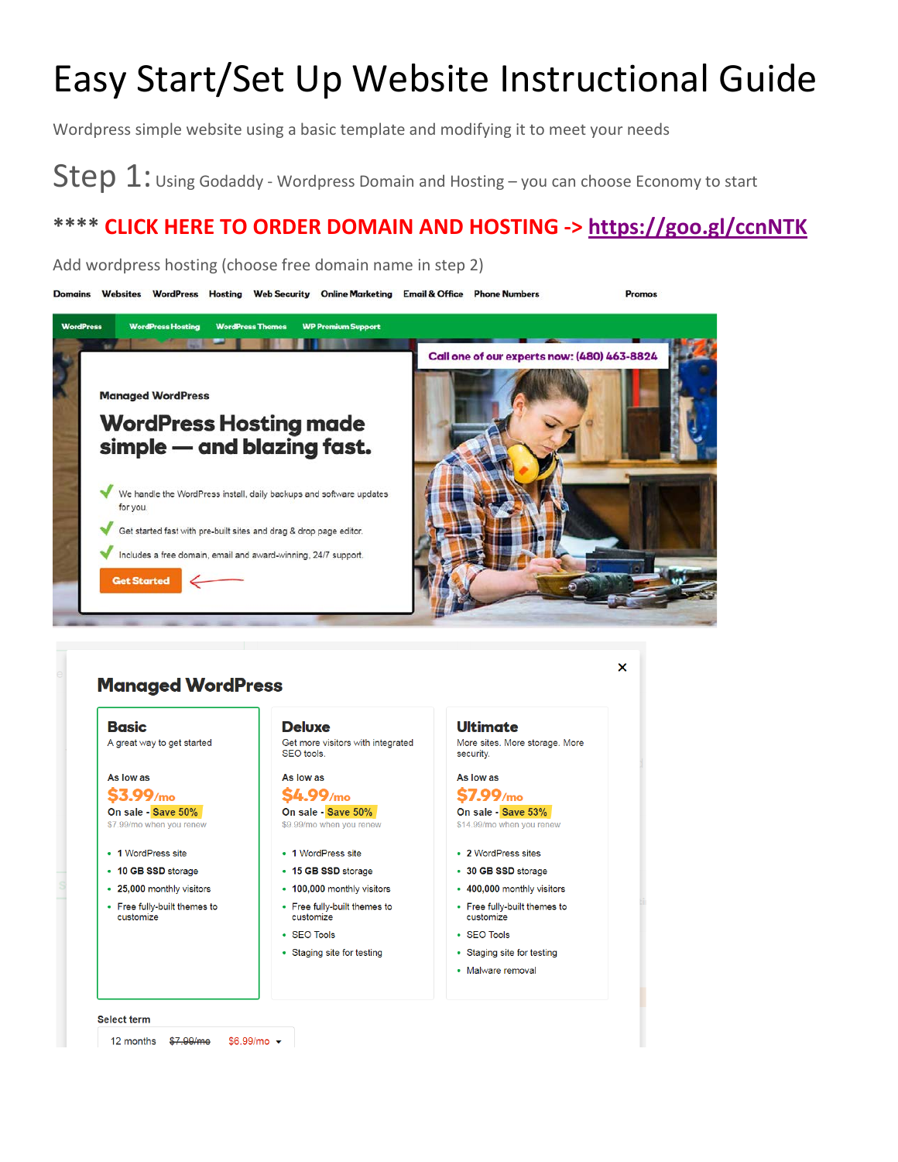# Easy Start/Set Up Website Instructional Guide

Wordpress simple website using a basic template and modifying it to meet your needs

Step 1: Using Godaddy - Wordpress Domain and Hosting – you can choose Economy to start

### **\*\*\*\* CLICK HERE TO ORDER DOMAIN AND HOSTING -><https://goo.gl/ccnNTK>**



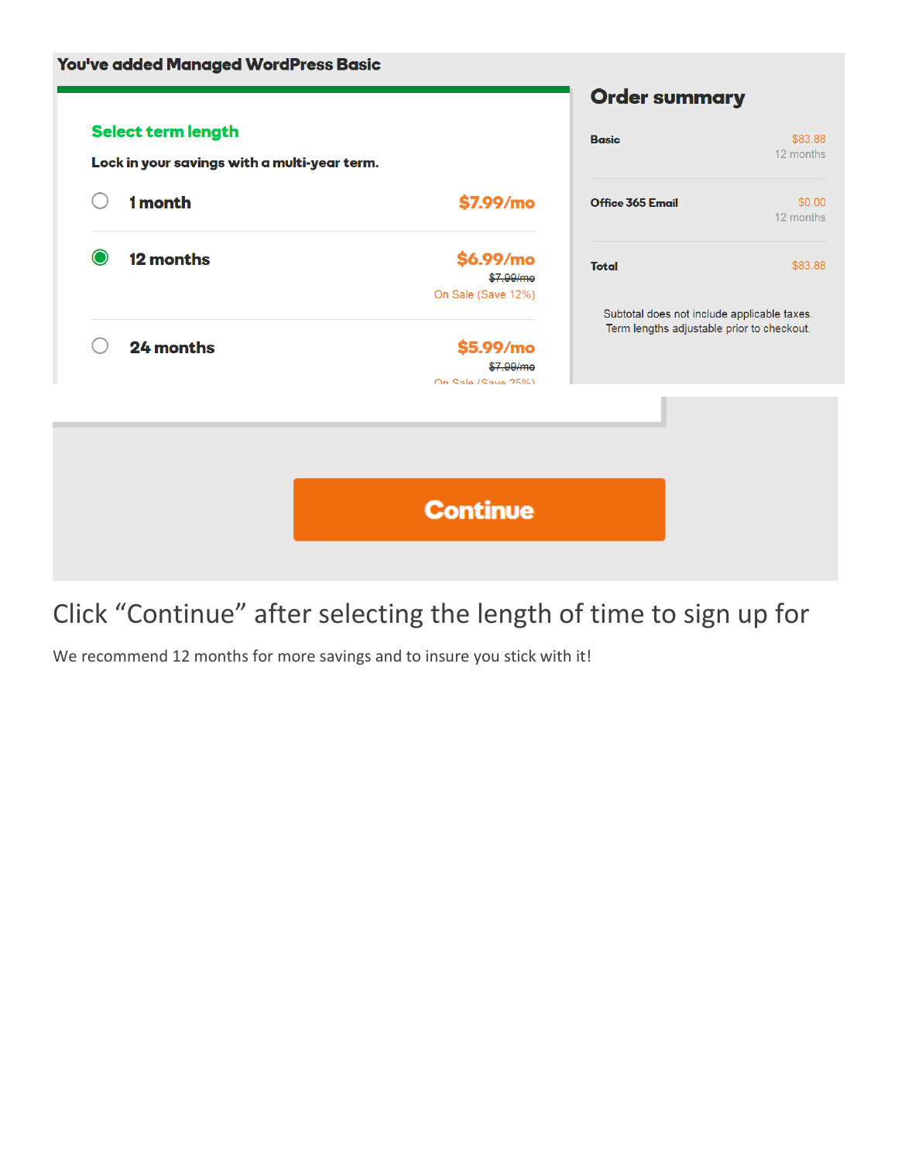

### Click "Continue" after selecting the length of time to sign up for

We recommend 12 months for more savings and to insure you stick with it!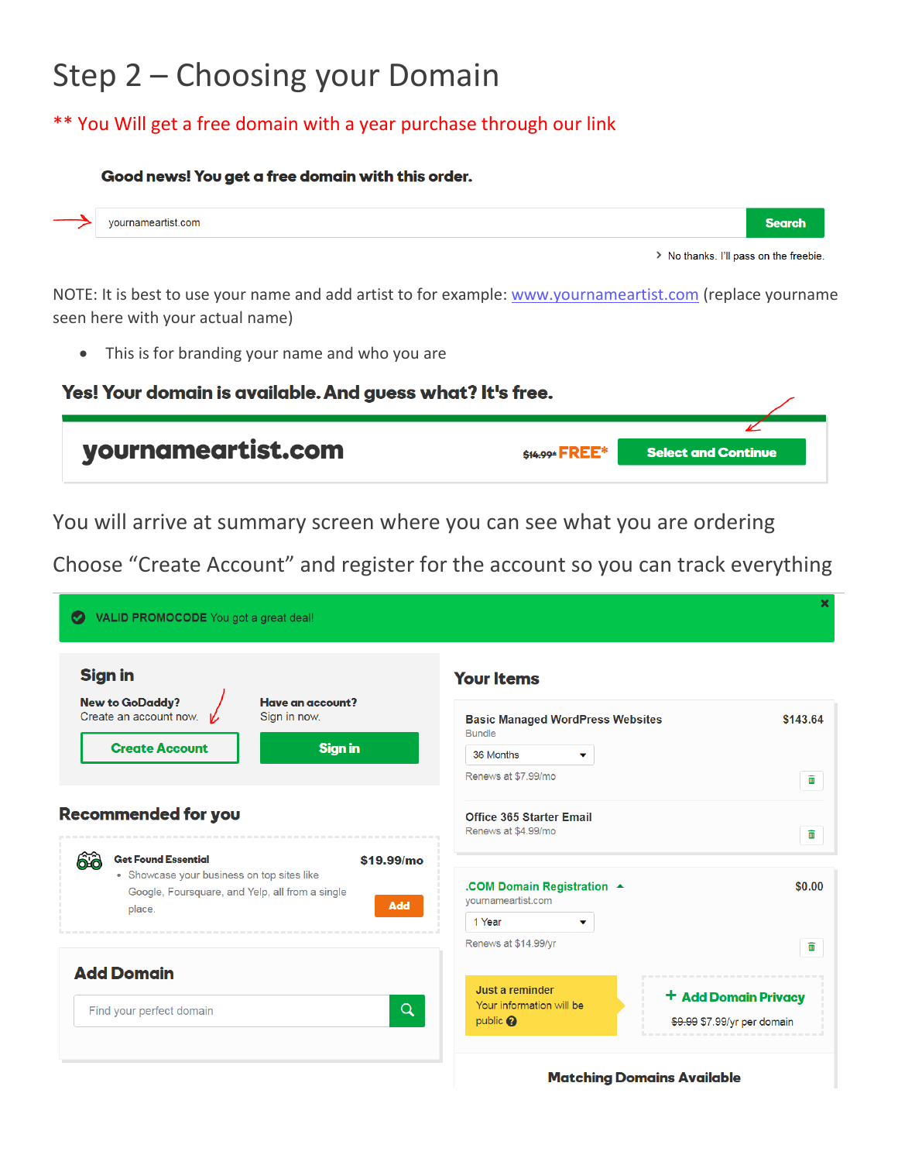## Step 2 – Choosing your Domain

#### \*\* You Will get a free domain with a year purchase through our link

#### Good news! You get a free domain with this order.



> No thanks. I'll pass on the freebie.

NOTE: It is best to use your name and add artist to for example[: www.yournameartist.com](http://www.yournameartist.com/) (replace yourname seen here with your actual name)

• This is for branding your name and who you are

| Yes! Your domain is available. And guess what? It's free. |                |                            |  |  |  |  |  |
|-----------------------------------------------------------|----------------|----------------------------|--|--|--|--|--|
| yournameartist.com                                        | \$14.99* FREE* | <b>Select and Continue</b> |  |  |  |  |  |

You will arrive at summary screen where you can see what you are ordering

Choose "Create Account" and register for the account so you can track everything

| <b>Sign in</b>                                                                                                                                                          | <b>Your Items</b>                                               |                         |
|-------------------------------------------------------------------------------------------------------------------------------------------------------------------------|-----------------------------------------------------------------|-------------------------|
| <b>New to GoDaddy?</b><br>Have an account?<br>Create an account now.<br>Sign in now.                                                                                    | <b>Basic Managed WordPress Websites</b><br><b>Bundle</b>        | \$143.64                |
| <b>Create Account</b><br><b>Sign in</b>                                                                                                                                 | 36 Months<br>▼                                                  |                         |
|                                                                                                                                                                         | Renews at \$7.99/mo                                             | ίm                      |
| Recommended for you                                                                                                                                                     | <b>Office 365 Starter Email</b><br>Renews at \$4.99/mo          | $\overline{\mathbf{m}}$ |
| <b>Get Found Essential</b><br>66<br>\$19.99/mo<br>• Showcase your business on top sites like<br>Google, Foursquare, and Yelp, all from a single<br><b>Add</b><br>place. | .COM Domain Registration ▲<br>yournameartist.com<br>1 Year<br>v | \$0.00                  |
|                                                                                                                                                                         | Renews at \$14.99/yr                                            | <u>m</u>                |
| <b>Add Domain</b>                                                                                                                                                       | Just a reminder                                                 |                         |
| $\alpha$<br>Find your perfect domain                                                                                                                                    | Your information will be                                        | + Add Domain Privacy    |

**Matching Domains Available**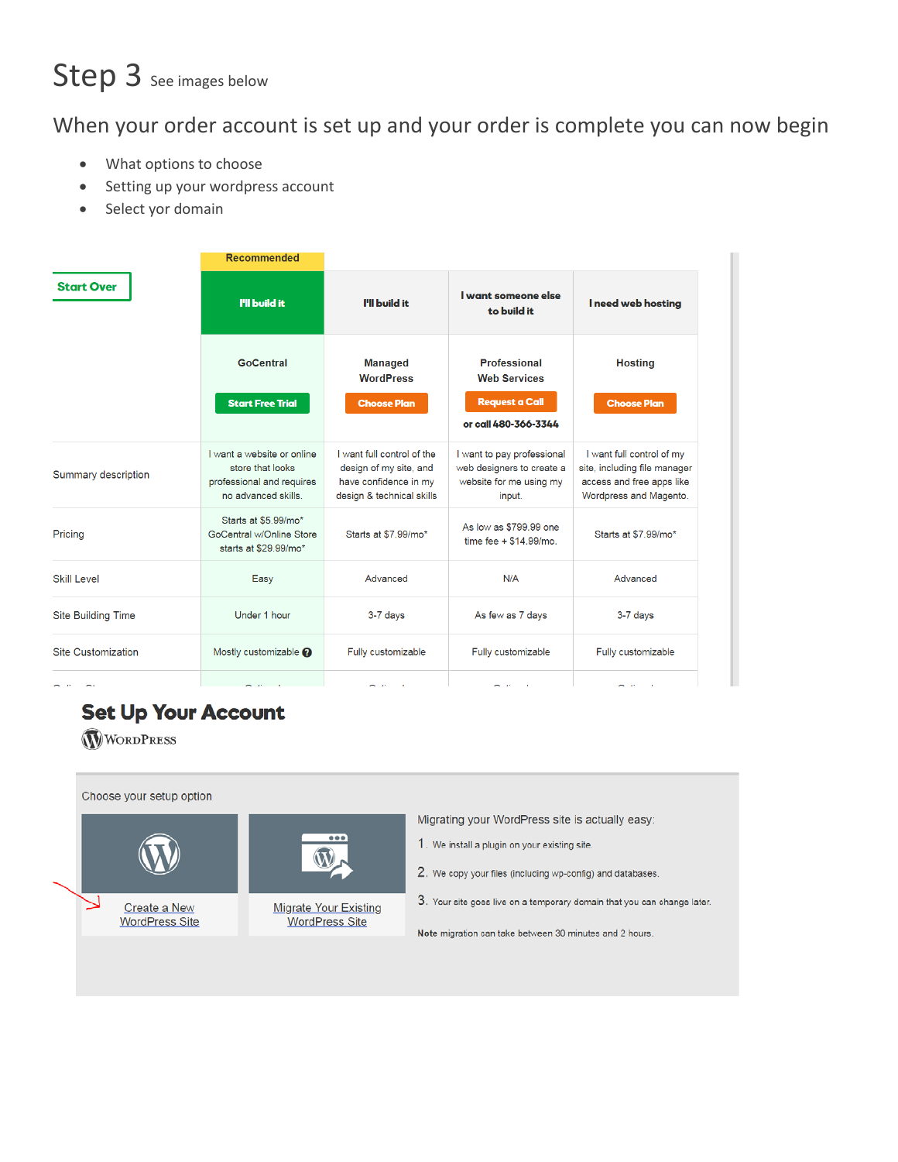# Step 3 See images below

#### When your order account is set up and your order is complete you can now begin

- What options to choose
- Setting up your wordpress account
- Select yor domain

|                           | <b>Recommended</b>                                                                                 |                                                                                                            |                                                                                              |                                                                                                                  |
|---------------------------|----------------------------------------------------------------------------------------------------|------------------------------------------------------------------------------------------------------------|----------------------------------------------------------------------------------------------|------------------------------------------------------------------------------------------------------------------|
| <b>Start Over</b>         | I'll build it                                                                                      | I'll build it                                                                                              | I want someone else<br>to build it                                                           | I need web hosting                                                                                               |
|                           | <b>GoCentral</b><br><b>Start Free Trial</b>                                                        | <b>Managed</b><br><b>WordPress</b><br><b>Choose Plan</b>                                                   | Professional<br><b>Web Services</b><br><b>Request a Call</b><br>or call 480-366-3344         | <b>Hosting</b><br><b>Choose Plan</b>                                                                             |
| Summary description       | I want a website or online<br>store that looks<br>professional and requires<br>no advanced skills. | I want full control of the<br>design of my site, and<br>have confidence in my<br>design & technical skills | I want to pay professional<br>web designers to create a<br>website for me using my<br>input. | I want full control of my<br>site, including file manager<br>access and free apps like<br>Wordpress and Magento. |
| Pricing                   | Starts at \$5.99/mo*<br>GoCentral w/Online Store<br>starts at \$29.99/mo*                          | Starts at \$7.99/mo*                                                                                       | As low as \$799.99 one<br>time fee + \$14.99/mo.                                             | Starts at \$7.99/mo*                                                                                             |
| <b>Skill Level</b>        | Easy                                                                                               | Advanced                                                                                                   | N/A                                                                                          | Advanced                                                                                                         |
| <b>Site Building Time</b> | Under 1 hour                                                                                       | 3-7 days                                                                                                   | As few as 7 days                                                                             | 3-7 days                                                                                                         |
| Site Customization        | Mostly customizable <sup>2</sup>                                                                   | Fully customizable                                                                                         | Fully customizable                                                                           | Fully customizable                                                                                               |
| $\sim$ $\cdot$<br>$\sim$  | $\sim$ $\sim$                                                                                      | $\sim$ $\approx$<br>÷.                                                                                     | $\sim$ $\sim$<br>$\sim$                                                                      | $\sim$ $\sim$<br>$\sim$ 10 $\pm$                                                                                 |

 $\rm W$ 

### **Set Up Your Account**

**WORDPRESS** 

Choose your setup option



Migrating your WordPress site is actually easy:

- 1. We install a plugin on your existing site.
- 2. We copy your files (including wp-config) and databases.
- 3. Your site goes live on a temporary domain that you can change later.

Note migration can take between 30 minutes and 2 hours.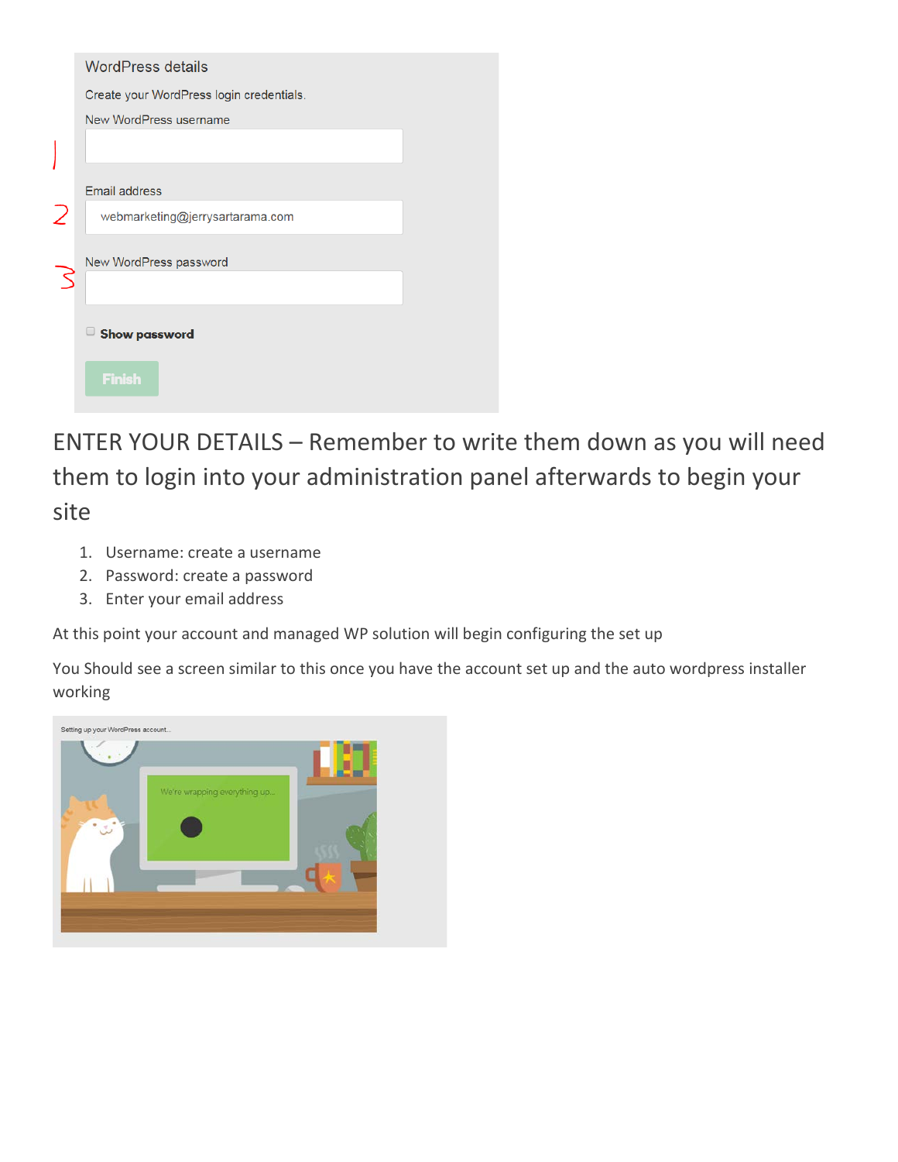| <b>WordPress details</b>                 |  |
|------------------------------------------|--|
| Create your WordPress login credentials. |  |
| New WordPress username                   |  |
|                                          |  |
| <b>Email address</b>                     |  |
| webmarketing@jerrysartarama.com          |  |
| New WordPress password                   |  |
|                                          |  |
| <b>Show password</b>                     |  |
| <b>Finish</b>                            |  |

ENTER YOUR DETAILS – Remember to write them down as you will need them to login into your administration panel afterwards to begin your site

- 1. Username: create a username
- 2. Password: create a password
- 3. Enter your email address

At this point your account and managed WP solution will begin configuring the set up

You Should see a screen similar to this once you have the account set up and the auto wordpress installer working

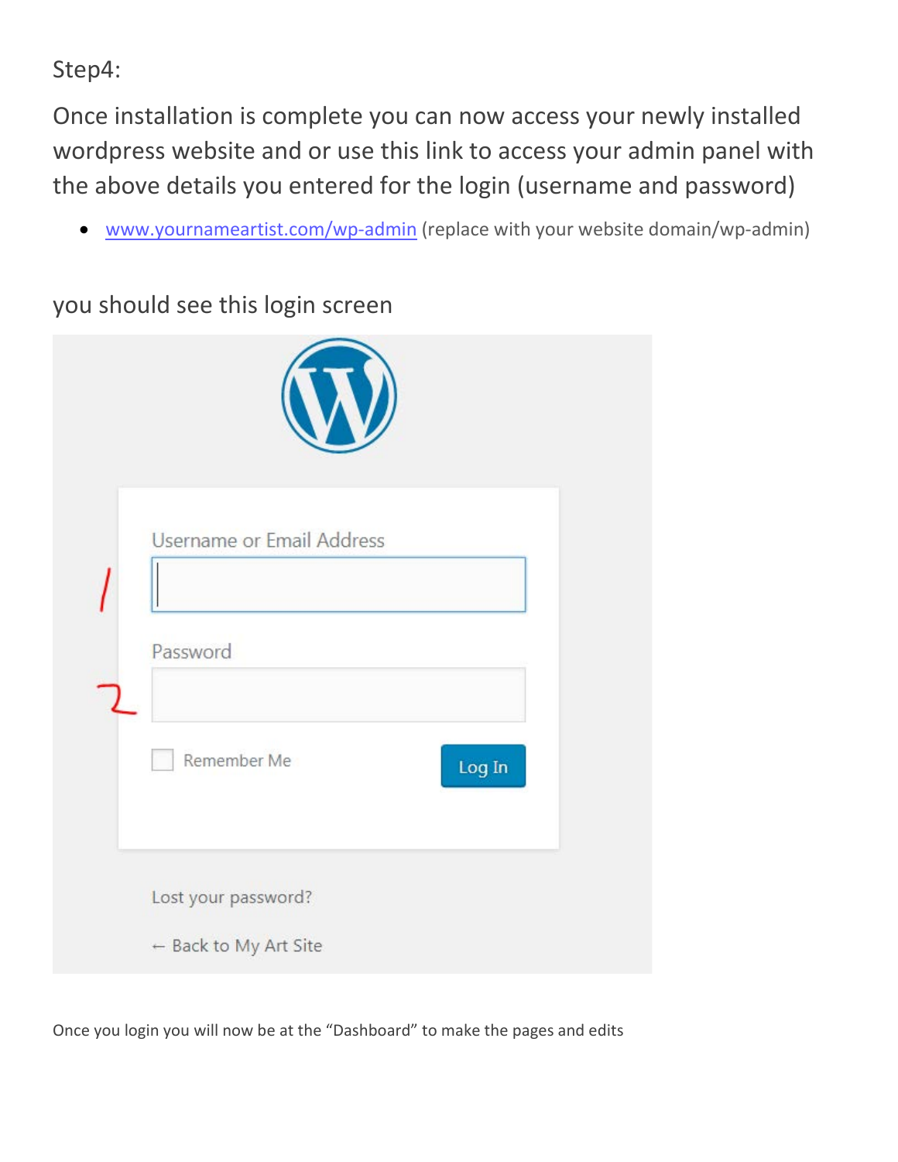Step4:

Once installation is complete you can now access your newly installed wordpress website and or use this link to access your admin panel with the above details you entered for the login (username and password)

[www.yournameartist.com/wp-admin](http://www.yournameartist.com/wp-admin) (replace with your website domain/wp-admin)

you should see this login screen

| <b>Username or Email Address</b>             |  |
|----------------------------------------------|--|
| Password                                     |  |
| Remember Me<br>Log In                        |  |
| Lost your password?<br>← Back to My Art Site |  |

Once you login you will now be at the "Dashboard" to make the pages and edits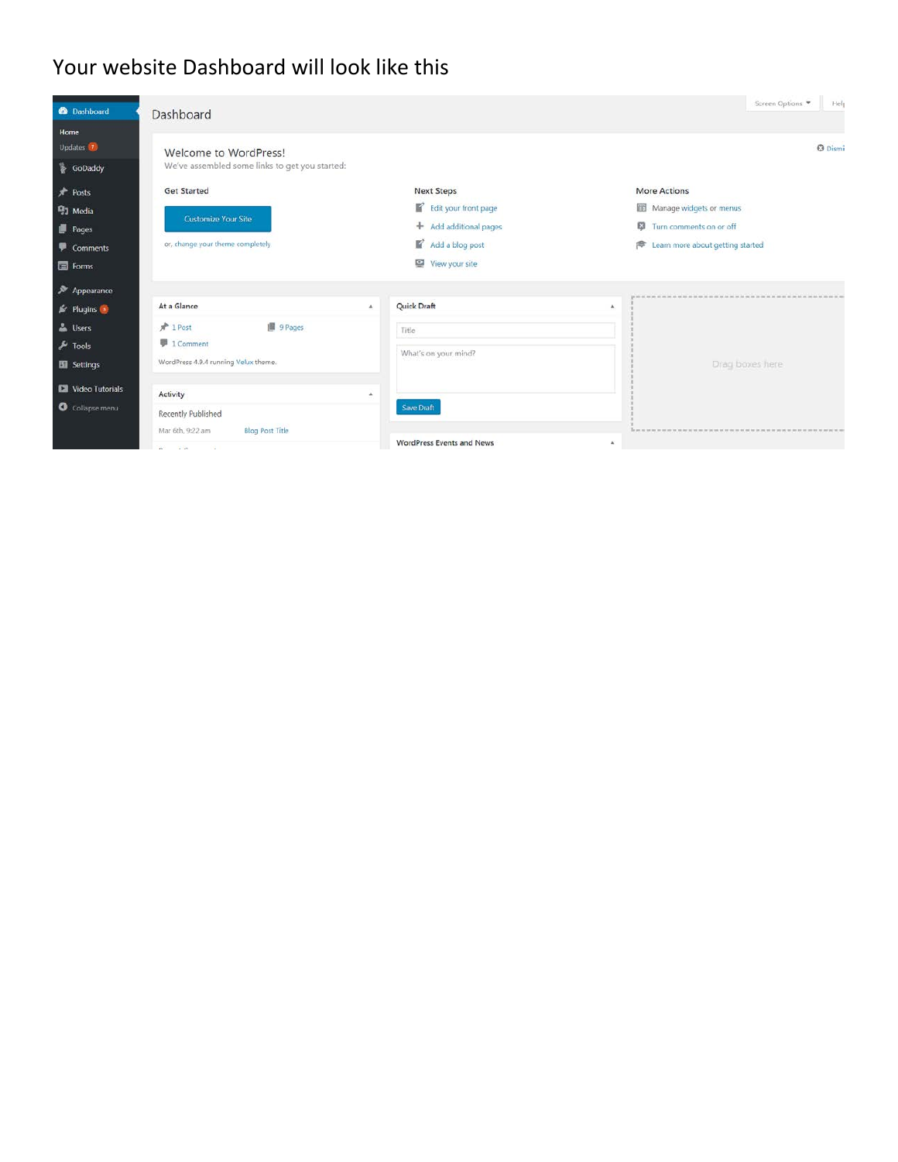#### Your website Dashboard will look like this

| <b>2</b> Dashboard         | Dashboard                                      |    |                           | Screen Options<br>Help                |
|----------------------------|------------------------------------------------|----|---------------------------|---------------------------------------|
| Home<br>Updates <b>17</b>  | Welcome to WordPress!                          |    |                           | <b>3</b> Dismi                        |
| <b>SoDaddy</b>             | We've assembled some links to get you started: |    |                           |                                       |
| $*$ Posts                  | <b>Get Started</b>                             |    | <b>Next Steps</b>         | <b>More Actions</b>                   |
| <sup>2</sup> Media         |                                                |    | Edit your front page      | Manage widgets or menus               |
| Pages                      | <b>Customize Your Site</b>                     |    | + Add additional pages    | 63<br>Turn comments on or off         |
| Comments                   | or, change your theme completely               |    | К<br>Add a blog post      | Learn more about getting started<br>澪 |
| $\blacksquare$ Forms       |                                                |    | View your site            |                                       |
| Appearance                 |                                                |    |                           |                                       |
| $\frac{d}{dx}$ Plugins     | At a Glance                                    | A. | Quick Draft               | $\mathbf{A}$                          |
| <b>L</b> Users             | 图 9 Pages<br>$\sqrt{2}$ 1 Post                 |    | Title                     |                                       |
| $\sqrt{\frac{1}{2}}$ Tools | <b>■ 1 Comment</b>                             |    |                           |                                       |
| Settings                   | WordPress 4.9.4 running Velux theme.           |    | What's on your mind?      | Drag boxes here                       |
| Video Tutorials            | Activity                                       | a. |                           |                                       |
| Collapse menu              | Recently Published                             |    | <b>Save Draft</b>         |                                       |
|                            | <b>Blog Post Title</b><br>Mar 6th, 9:22 am     |    |                           |                                       |
|                            | a tam in the first<br>W.                       |    | WordPress Events and News | ٠                                     |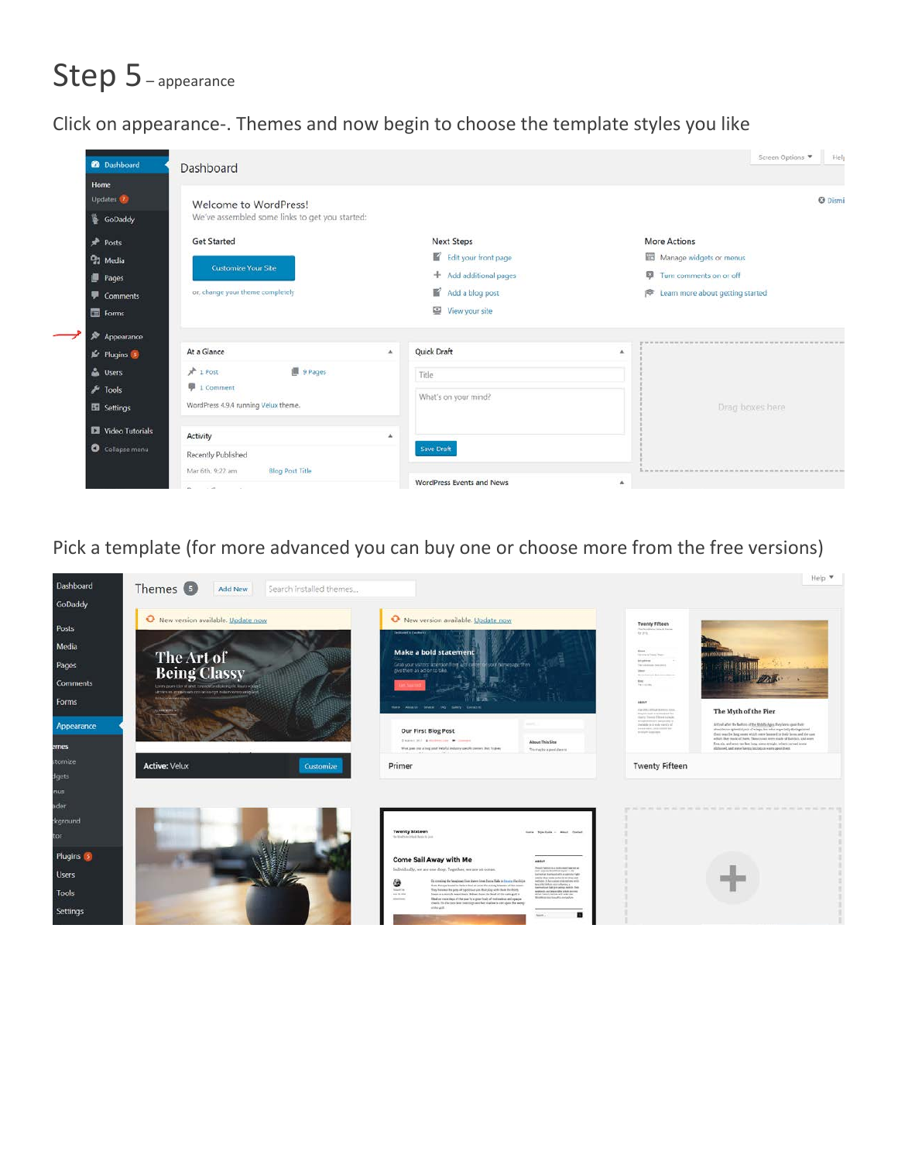# Step 5-appearance

Click on appearance-. Themes and now begin to choose the template styles you like

| <sup>2</sup> Dashboard                                                               | Dashboard                                                                                                                 |              |                                                                                                          |                                                | Screen Options<br>Help                                      |
|--------------------------------------------------------------------------------------|---------------------------------------------------------------------------------------------------------------------------|--------------|----------------------------------------------------------------------------------------------------------|------------------------------------------------|-------------------------------------------------------------|
| Home<br>Updates <b>O</b><br>GoDaddy                                                  | Welcome to WordPress!<br>We've assembled some links to get you started:                                                   |              |                                                                                                          |                                                | <b>O</b> Dismi                                              |
| Posts<br><sup>9</sup> 1 Media<br>Pages<br>Comments<br>Forms                          | <b>Get Started</b><br><b>Customize Your Site</b><br>or, change your theme completely                                      |              | <b>Next Steps</b><br>Edit your front page<br>+ Add additional pages<br>Add a blog post<br>View your site | <b>More Actions</b><br>Turn comments on or off | Manage widgets or menus<br>Learn more about getting started |
| Appearance<br><b>In</b> Plugins<br>& Users<br>$\sqrt{\frac{1}{2}}$ Tools<br>Settings | At a Glance<br>图 9 Pages<br>$*1$ Post<br><b>图 1 Comment</b><br>WordPress 4.9.4 running Velux theme.                       | $\mathbf{A}$ | Quick Draft<br>Title<br>What's on your mind?                                                             | $\Delta$                                       | Drag boxes here                                             |
| Video Tutorials<br>Collapse menu                                                     | Activity<br>Recently Published<br><b>Blog Post Title</b><br>Mar 6th, 9:22 am<br><b>But the community of the community</b> | $\Delta$     | Save Draft<br><b>WordPress Events and News</b>                                                           | $\Delta$                                       |                                                             |

Pick a template (for more advanced you can buy one or choose more from the free versions)

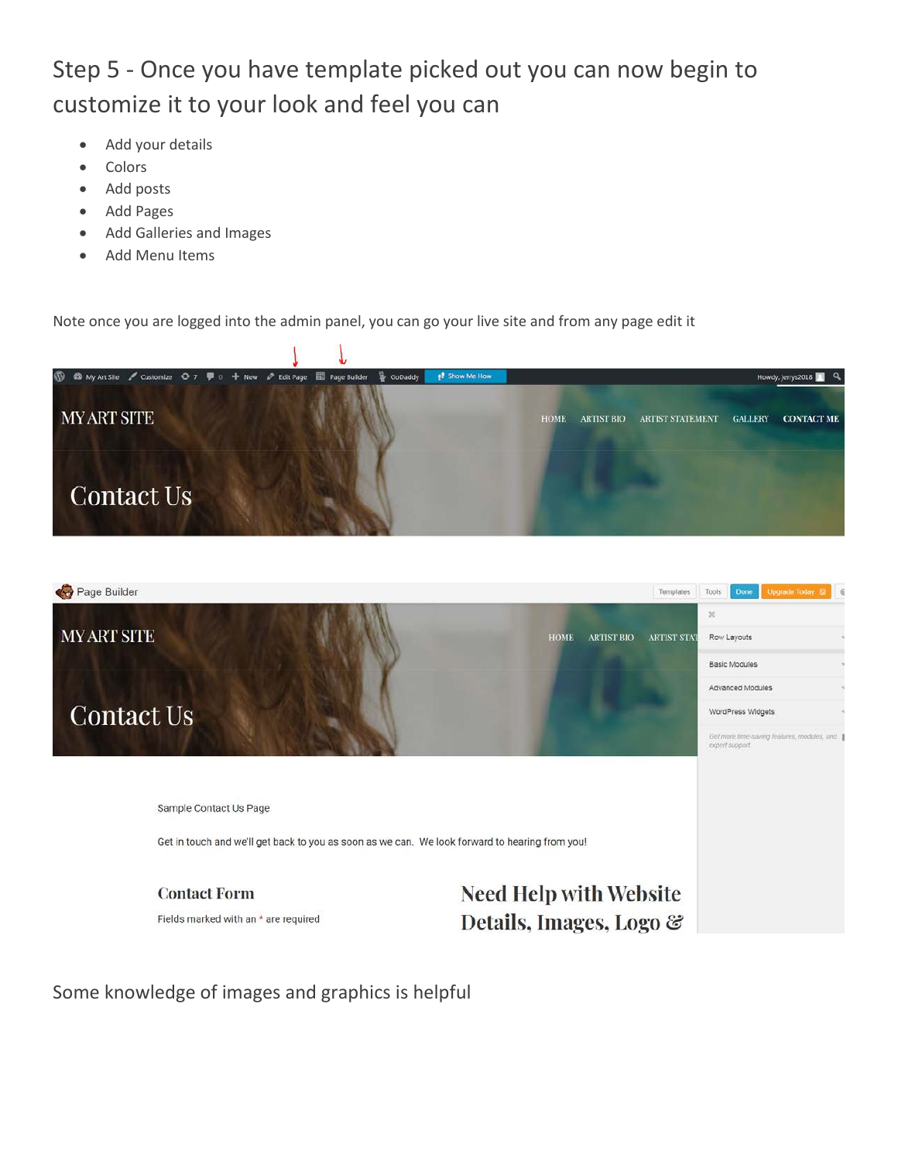### Step 5 - Once you have template picked out you can now begin to customize it to your look and feel you can

- Add your details
- **Colors**
- Add posts
- Add Pages
- Add Galleries and Images
- Add Menu Items

Note once you are logged into the admin panel, you can go your live site and from any page edit it





Some knowledge of images and graphics is helpful